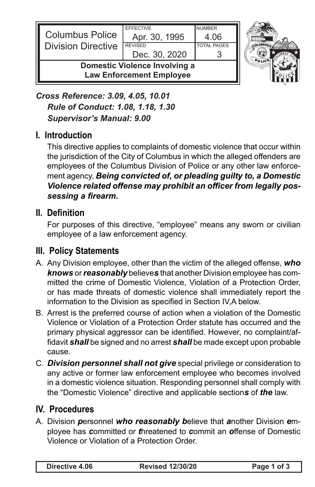

*Cross Reference: 3.09, 4.05, 10.01 Rule of Conduct: 1.08, 1.18, 1.30 Supervisor's Manual: 9.00*

# **I. Introduction**

This directive applies to complaints of domestic violence that occur within the jurisdiction of the City of Columbus in which the alleged offenders are employees of the Columbus Division of Police or any other law enforcement agency. *Being convicted of, or pleading guilty to, a Domestic Violence related offense may prohibit an officer from legally possessing a firearm.*

# **II. Definition**

For purposes of this directive, "employee" means any sworn or civilian employee of a law enforcement agency.

# **III. Policy Statements**

- A. Any Division employee, other than the victim of the alleged offense, *who knows* or *reasonably* believe*s* that another Division employee has committed the crime of Domestic Violence, Violation of a Protection Order, or has made threats of domestic violence shall immediately report the information to the Division as specified in Section IV,A below.
- B. Arrest is the preferred course of action when a violation of the Domestic Violence or Violation of a Protection Order statute has occurred and the primary physical aggressor can be identified. However, no complaint/affidavit *shall* be signed and no arrest *shall* be made except upon probable cause.
- C. *Division personnel shall not give* special privilege or consideration to any active or former law enforcement employee who becomes involved in a domestic violence situation. Responding personnel shall comply with the "Domestic Violence" directive and applicable section*s* of *the* law.

# **IV. Procedures**

A. Division *p*ersonnel *who reasonably b*elieve that *a*nother Division *e*mployee has *c*ommitted or *t*hreatened to *c*ommit an *o*ffense of Domestic Violence or Violation of a Protection Order.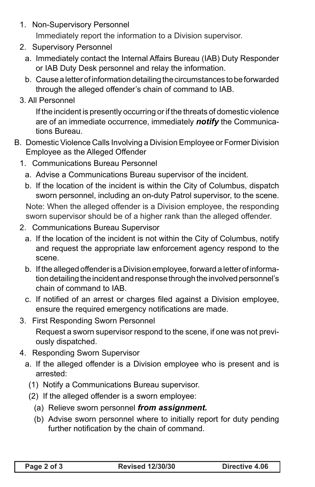1. Non-Supervisory Personnel

Immediately report the information to a Division supervisor.

- 2. Supervisory Personnel
	- a. Immediately contact the Internal Affairs Bureau (IAB) Duty Responder or IAB Duty Desk personnel and relay the information.
	- b. Cause a letter of information detailing the circumstances to be forwarded through the alleged offender's chain of command to IAB.
- 3. All Personnel

If the incident is presently occurring or if the threats of domestic violence are of an immediate occurrence, immediately *notify* the Communications Bureau.

- B. Domestic Violence Calls Involving a Division Employee or Former Division Employee as the Alleged Offender
	- 1. Communications Bureau Personnel
		- a. Advise a Communications Bureau supervisor of the incident.
		- b. If the location of the incident is within the City of Columbus, dispatch sworn personnel, including an on-duty Patrol supervisor, to the scene.

Note: When the alleged offender is a Division employee, the responding sworn supervisor should be of a higher rank than the alleged offender.

- 2. Communications Bureau Supervisor
	- a. If the location of the incident is not within the City of Columbus, notify and request the appropriate law enforcement agency respond to the scene.
	- b. If the alleged offender is a Division employee, forward a letter of information detailing the incident and response through the involved personnel's chain of command to IAB.
	- c. If notified of an arrest or charges filed against a Division employee, ensure the required emergency notifications are made.
- 3. First Responding Sworn Personnel

Request a sworn supervisor respond to the scene, if one was not previously dispatched.

- 4. Responding Sworn Supervisor
	- a. If the alleged offender is a Division employee who is present and is arrested:
		- (1) Notify a Communications Bureau supervisor.
		- (2) If the alleged offender is a sworn employee:
			- (a) Relieve sworn personnel *from assignment.*
			- (b) Advise sworn personnel where to initially report for duty pending further notification by the chain of command.